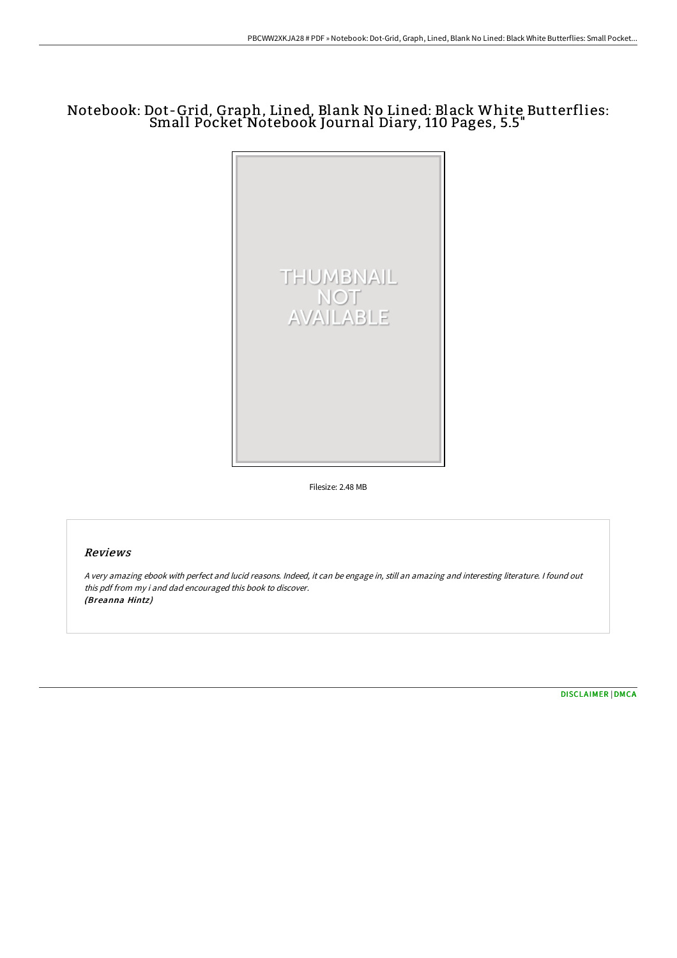# Notebook: Dot-Grid, Graph, Lined, Blank No Lined: Black White Butterflies: Small Pocket Notebook Journal Diary, 110 Pages, 5.5"



Filesize: 2.48 MB

## Reviews

<sup>A</sup> very amazing ebook with perfect and lucid reasons. Indeed, it can be engage in, still an amazing and interesting literature. <sup>I</sup> found out this pdf from my i and dad encouraged this book to discover. (Breanna Hintz)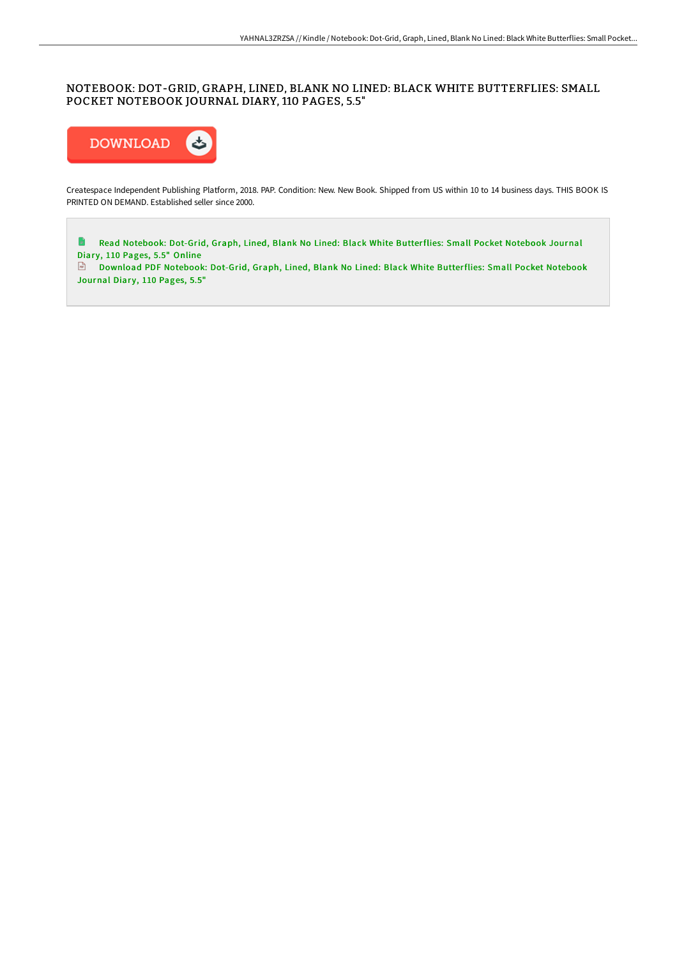### NOTEBOOK: DOT-GRID, GRAPH, LINED, BLANK NO LINED: BLACK WHITE BUTTERFLIES: SMALL POCKET NOTEBOOK JOURNAL DIARY, 110 PAGES, 5.5"



Createspace Independent Publishing Platform, 2018. PAP. Condition: New. New Book. Shipped from US within 10 to 14 business days. THIS BOOK IS PRINTED ON DEMAND. Established seller since 2000.

 $\blacksquare$ Read Notebook: Dot-Grid, Graph, Lined, Blank No Lined: Black White [Butterflies:](http://techno-pub.tech/notebook-dot-grid-graph-lined-blank-no-lined-bla-3.html) Small Pocket Notebook Journal Diary, 110 Pages, 5.5" Online

Download PDF Notebook: Dot-Grid, Graph, Lined, Blank No Lined: Black White [Butterflies:](http://techno-pub.tech/notebook-dot-grid-graph-lined-blank-no-lined-bla-3.html) Small Pocket Notebook Journal Diary, 110 Pages, 5.5"